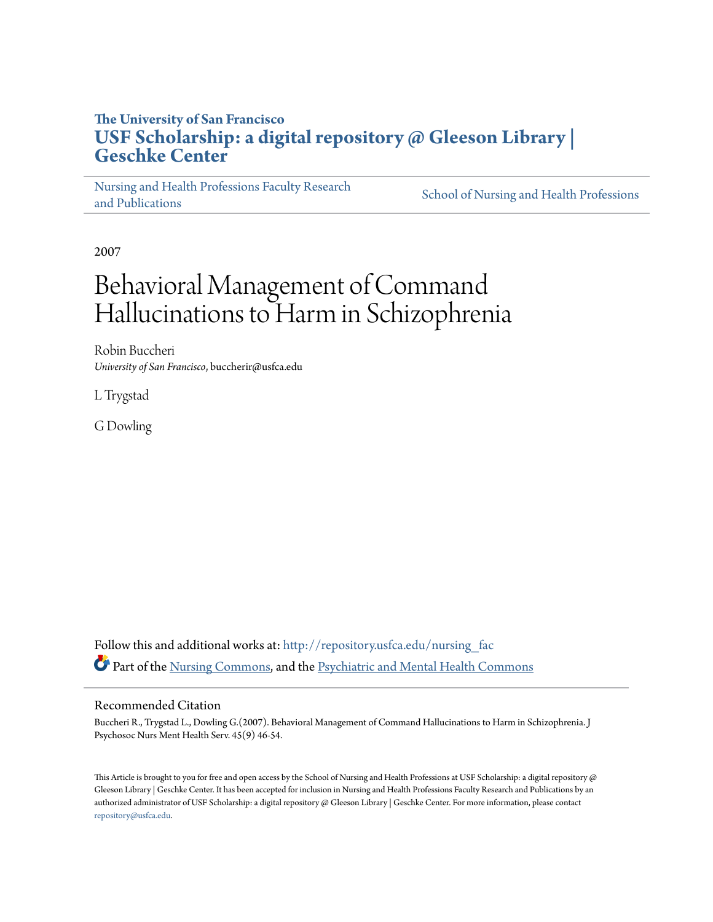## **The University of San Francisco [USF Scholarship: a digital repository @ Gleeson Library |](http://repository.usfca.edu?utm_source=repository.usfca.edu%2Fnursing_fac%2F32&utm_medium=PDF&utm_campaign=PDFCoverPages) [Geschke Center](http://repository.usfca.edu?utm_source=repository.usfca.edu%2Fnursing_fac%2F32&utm_medium=PDF&utm_campaign=PDFCoverPages)**

[Nursing and Health Professions Faculty Research](http://repository.usfca.edu/nursing_fac?utm_source=repository.usfca.edu%2Fnursing_fac%2F32&utm_medium=PDF&utm_campaign=PDFCoverPages) [and Publications](http://repository.usfca.edu/nursing_fac?utm_source=repository.usfca.edu%2Fnursing_fac%2F32&utm_medium=PDF&utm_campaign=PDFCoverPages)

[School of Nursing and Health Professions](http://repository.usfca.edu/nursing?utm_source=repository.usfca.edu%2Fnursing_fac%2F32&utm_medium=PDF&utm_campaign=PDFCoverPages)

2007

# Behavioral Management of Command Hallucinations to Harm in Schizophrenia

Robin Buccheri *University of San Francisco*, buccherir@usfca.edu

L Trygstad

G Dowling

Follow this and additional works at: [http://repository.usfca.edu/nursing\\_fac](http://repository.usfca.edu/nursing_fac?utm_source=repository.usfca.edu%2Fnursing_fac%2F32&utm_medium=PDF&utm_campaign=PDFCoverPages) Part of the [Nursing Commons](http://network.bepress.com/hgg/discipline/718?utm_source=repository.usfca.edu%2Fnursing_fac%2F32&utm_medium=PDF&utm_campaign=PDFCoverPages), and the [Psychiatric and Mental Health Commons](http://network.bepress.com/hgg/discipline/711?utm_source=repository.usfca.edu%2Fnursing_fac%2F32&utm_medium=PDF&utm_campaign=PDFCoverPages)

#### Recommended Citation

Buccheri R., Trygstad L., Dowling G.(2007). Behavioral Management of Command Hallucinations to Harm in Schizophrenia. J Psychosoc Nurs Ment Health Serv. 45(9) 46-54.

This Article is brought to you for free and open access by the School of Nursing and Health Professions at USF Scholarship: a digital repository @ Gleeson Library | Geschke Center. It has been accepted for inclusion in Nursing and Health Professions Faculty Research and Publications by an authorized administrator of USF Scholarship: a digital repository @ Gleeson Library | Geschke Center. For more information, please contact [repository@usfca.edu](mailto:repository@usfca.edu).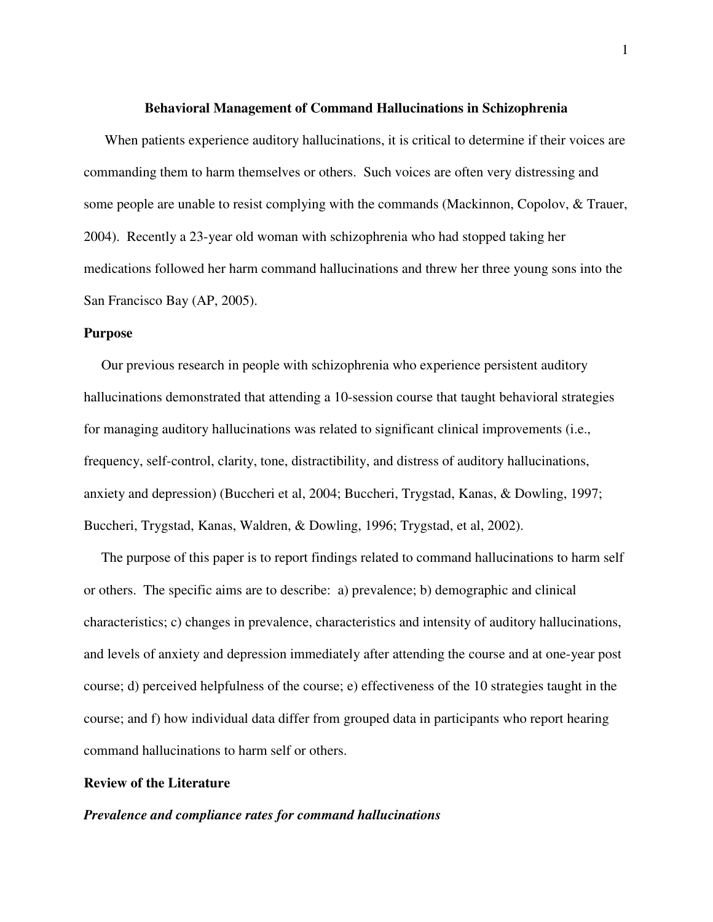#### **Behavioral Management of Command Hallucinations in Schizophrenia**

 When patients experience auditory hallucinations, it is critical to determine if their voices are commanding them to harm themselves or others. Such voices are often very distressing and some people are unable to resist complying with the commands (Mackinnon, Copolov, & Trauer, 2004). Recently a 23-year old woman with schizophrenia who had stopped taking her medications followed her harm command hallucinations and threw her three young sons into the San Francisco Bay (AP, 2005).

#### **Purpose**

 Our previous research in people with schizophrenia who experience persistent auditory hallucinations demonstrated that attending a 10-session course that taught behavioral strategies for managing auditory hallucinations was related to significant clinical improvements (i.e., frequency, self-control, clarity, tone, distractibility, and distress of auditory hallucinations, anxiety and depression) (Buccheri et al, 2004; Buccheri, Trygstad, Kanas, & Dowling, 1997; Buccheri, Trygstad, Kanas, Waldren, & Dowling, 1996; Trygstad, et al, 2002).

 The purpose of this paper is to report findings related to command hallucinations to harm self or others. The specific aims are to describe: a) prevalence; b) demographic and clinical characteristics; c) changes in prevalence, characteristics and intensity of auditory hallucinations, and levels of anxiety and depression immediately after attending the course and at one-year post course; d) perceived helpfulness of the course; e) effectiveness of the 10 strategies taught in the course; and f) how individual data differ from grouped data in participants who report hearing command hallucinations to harm self or others.

#### **Review of the Literature**

#### *Prevalence and compliance rates for command hallucinations*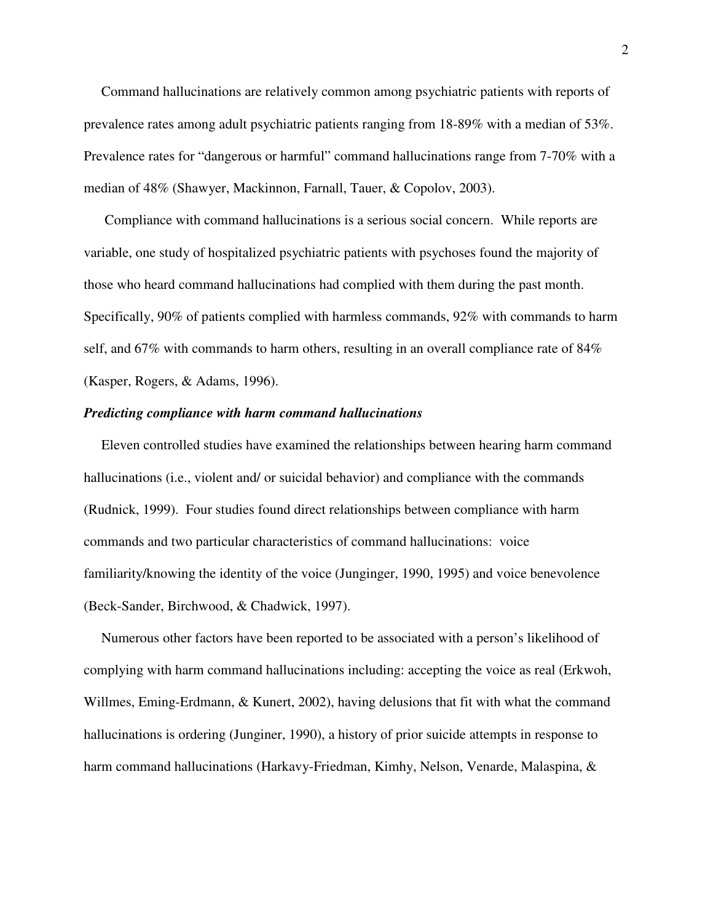Command hallucinations are relatively common among psychiatric patients with reports of prevalence rates among adult psychiatric patients ranging from 18-89% with a median of 53%. Prevalence rates for "dangerous or harmful" command hallucinations range from 7-70% with a median of 48% (Shawyer, Mackinnon, Farnall, Tauer, & Copolov, 2003).

Compliance with command hallucinations is a serious social concern. While reports are variable, one study of hospitalized psychiatric patients with psychoses found the majority of those who heard command hallucinations had complied with them during the past month. Specifically, 90% of patients complied with harmless commands, 92% with commands to harm self, and 67% with commands to harm others, resulting in an overall compliance rate of 84% (Kasper, Rogers, & Adams, 1996).

#### *Predicting compliance with harm command hallucinations*

 Eleven controlled studies have examined the relationships between hearing harm command hallucinations (i.e., violent and/ or suicidal behavior) and compliance with the commands (Rudnick, 1999). Four studies found direct relationships between compliance with harm commands and two particular characteristics of command hallucinations: voice familiarity/knowing the identity of the voice (Junginger, 1990, 1995) and voice benevolence (Beck-Sander, Birchwood, & Chadwick, 1997).

Numerous other factors have been reported to be associated with a person's likelihood of complying with harm command hallucinations including: accepting the voice as real (Erkwoh, Willmes, Eming-Erdmann, & Kunert, 2002), having delusions that fit with what the command hallucinations is ordering (Junginer, 1990), a history of prior suicide attempts in response to harm command hallucinations (Harkavy-Friedman, Kimhy, Nelson, Venarde, Malaspina, &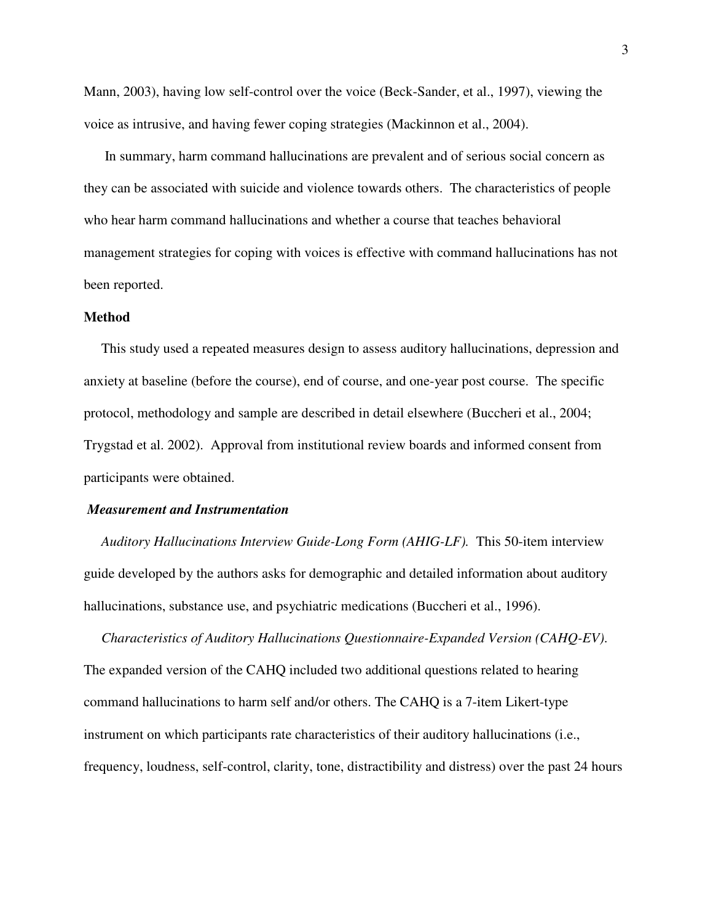Mann, 2003), having low self-control over the voice (Beck-Sander, et al., 1997), viewing the voice as intrusive, and having fewer coping strategies (Mackinnon et al., 2004).

 In summary, harm command hallucinations are prevalent and of serious social concern as they can be associated with suicide and violence towards others. The characteristics of people who hear harm command hallucinations and whether a course that teaches behavioral management strategies for coping with voices is effective with command hallucinations has not been reported.

#### **Method**

This study used a repeated measures design to assess auditory hallucinations, depression and anxiety at baseline (before the course), end of course, and one-year post course. The specific protocol, methodology and sample are described in detail elsewhere (Buccheri et al., 2004; Trygstad et al. 2002). Approval from institutional review boards and informed consent from participants were obtained.

#### *Measurement and Instrumentation*

 *Auditory Hallucinations Interview Guide-Long Form (AHIG-LF).* This 50-item interview guide developed by the authors asks for demographic and detailed information about auditory hallucinations, substance use, and psychiatric medications (Buccheri et al., 1996).

 *Characteristics of Auditory Hallucinations Questionnaire-Expanded Version (CAHQ-EV)*. The expanded version of the CAHQ included two additional questions related to hearing command hallucinations to harm self and/or others. The CAHQ is a 7-item Likert-type instrument on which participants rate characteristics of their auditory hallucinations (i.e., frequency, loudness, self-control, clarity, tone, distractibility and distress) over the past 24 hours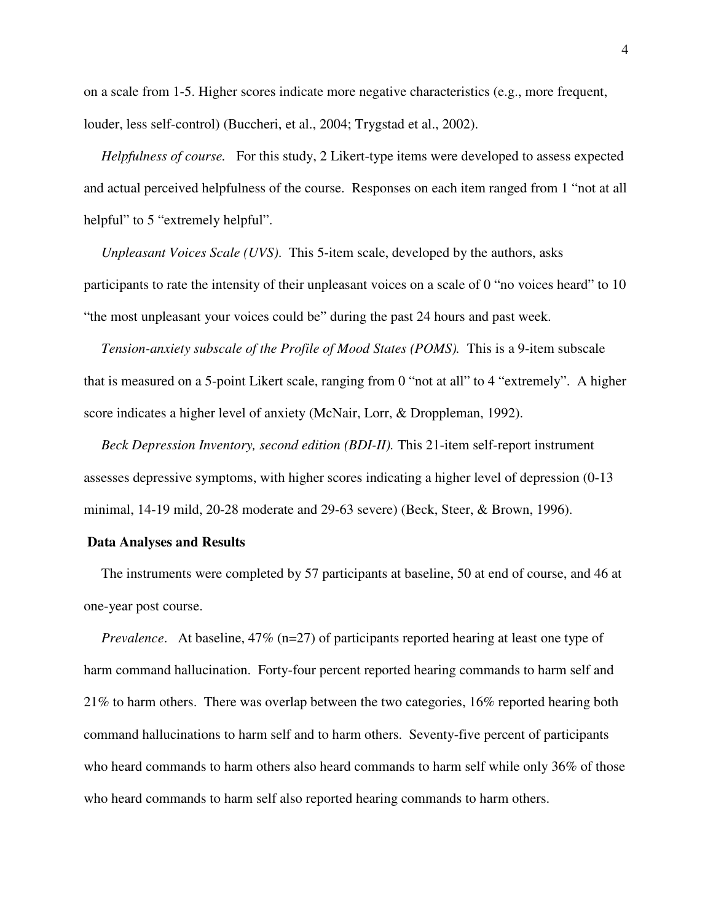on a scale from 1-5. Higher scores indicate more negative characteristics (e.g., more frequent, louder, less self-control) (Buccheri, et al., 2004; Trygstad et al., 2002).

 *Helpfulness of course.* For this study, 2 Likert-type items were developed to assess expected and actual perceived helpfulness of the course. Responses on each item ranged from 1 "not at all helpful" to 5 "extremely helpful".

 *Unpleasant Voices Scale (UVS)*. This 5-item scale, developed by the authors, asks participants to rate the intensity of their unpleasant voices on a scale of 0 "no voices heard" to 10 "the most unpleasant your voices could be" during the past 24 hours and past week.

 *Tension-anxiety subscale of the Profile of Mood States (POMS).* This is a 9-item subscale that is measured on a 5-point Likert scale, ranging from 0 "not at all" to 4 "extremely". A higher score indicates a higher level of anxiety (McNair, Lorr, & Droppleman, 1992).

 *Beck Depression Inventory, second edition (BDI-II).* This 21-item self-report instrument assesses depressive symptoms, with higher scores indicating a higher level of depression (0-13 minimal, 14-19 mild, 20-28 moderate and 29-63 severe) (Beck, Steer, & Brown, 1996).

#### **Data Analyses and Results**

 The instruments were completed by 57 participants at baseline, 50 at end of course, and 46 at one-year post course.

*Prevalence.* At baseline, 47% (n=27) of participants reported hearing at least one type of harm command hallucination. Forty-four percent reported hearing commands to harm self and 21% to harm others. There was overlap between the two categories, 16% reported hearing both command hallucinations to harm self and to harm others. Seventy-five percent of participants who heard commands to harm others also heard commands to harm self while only 36% of those who heard commands to harm self also reported hearing commands to harm others.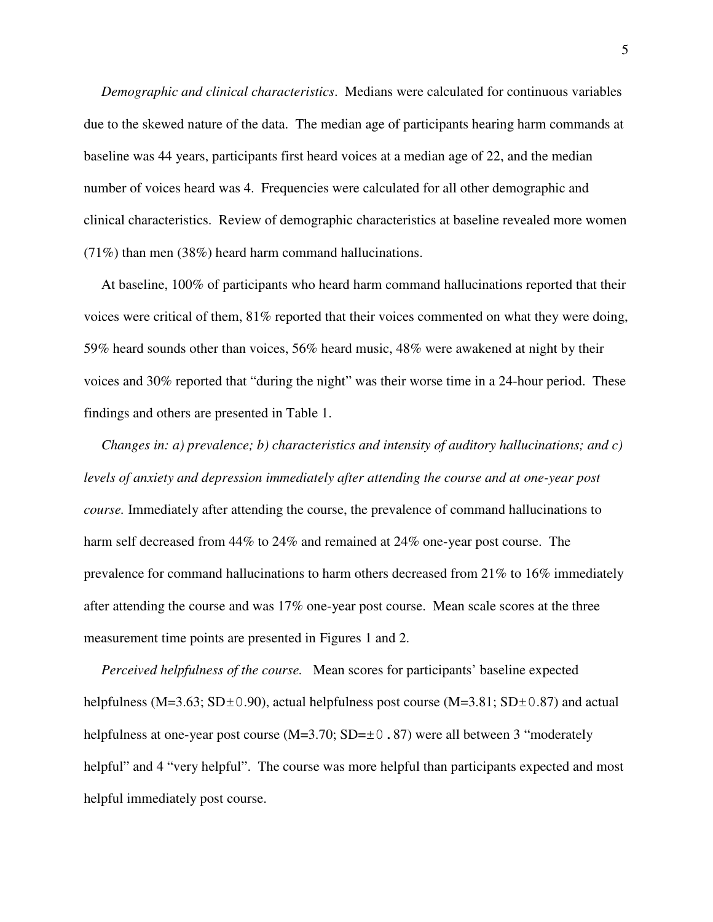*Demographic and clinical characteristics*. Medians were calculated for continuous variables due to the skewed nature of the data. The median age of participants hearing harm commands at baseline was 44 years, participants first heard voices at a median age of 22, and the median number of voices heard was 4. Frequencies were calculated for all other demographic and clinical characteristics. Review of demographic characteristics at baseline revealed more women (71%) than men (38%) heard harm command hallucinations.

 At baseline, 100% of participants who heard harm command hallucinations reported that their voices were critical of them, 81% reported that their voices commented on what they were doing, 59% heard sounds other than voices, 56% heard music, 48% were awakened at night by their voices and 30% reported that "during the night" was their worse time in a 24-hour period. These findings and others are presented in Table 1.

 *Changes in: a) prevalence; b) characteristics and intensity of auditory hallucinations; and c) levels of anxiety and depression immediately after attending the course and at one-year post course.* Immediately after attending the course, the prevalence of command hallucinations to harm self decreased from 44% to 24% and remained at 24% one-year post course. The prevalence for command hallucinations to harm others decreased from 21% to 16% immediately after attending the course and was 17% one-year post course. Mean scale scores at the three measurement time points are presented in Figures 1 and 2.

 *Perceived helpfulness of the course.* Mean scores for participants' baseline expected helpfulness (M=3.63; SD $\pm$ 0.90), actual helpfulness post course (M=3.81; SD $\pm$ 0.87) and actual helpfulness at one-year post course (M=3.70; SD= $\pm$ 0.87) were all between 3 "moderately helpful" and 4 "very helpful". The course was more helpful than participants expected and most helpful immediately post course.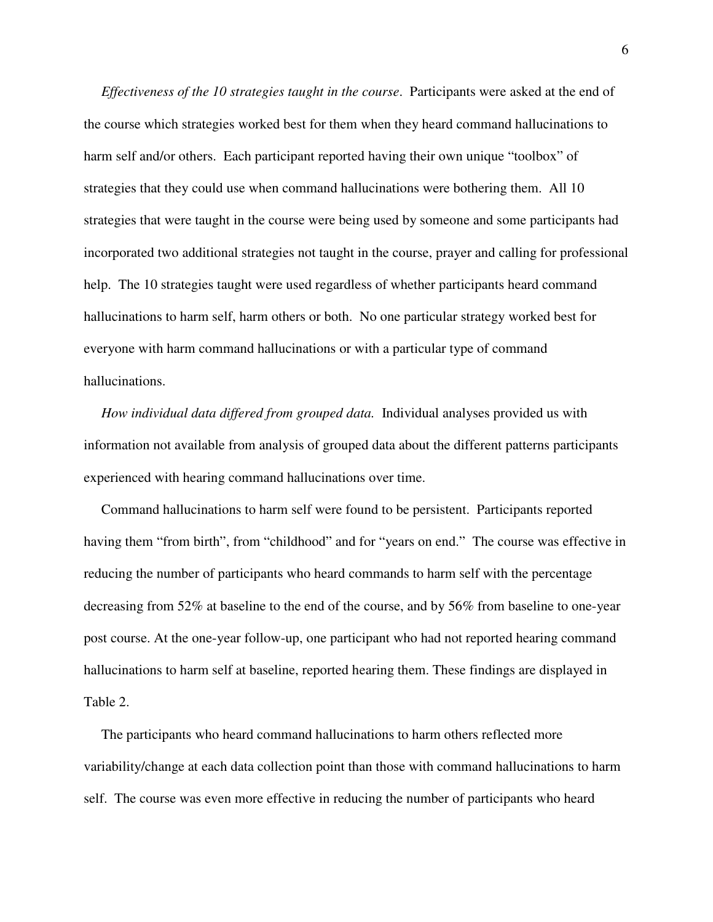*Effectiveness of the 10 strategies taught in the course*. Participants were asked at the end of the course which strategies worked best for them when they heard command hallucinations to harm self and/or others. Each participant reported having their own unique "toolbox" of strategies that they could use when command hallucinations were bothering them. All 10 strategies that were taught in the course were being used by someone and some participants had incorporated two additional strategies not taught in the course, prayer and calling for professional help. The 10 strategies taught were used regardless of whether participants heard command hallucinations to harm self, harm others or both. No one particular strategy worked best for everyone with harm command hallucinations or with a particular type of command hallucinations.

 *How individual data differed from grouped data.* Individual analyses provided us with information not available from analysis of grouped data about the different patterns participants experienced with hearing command hallucinations over time.

 Command hallucinations to harm self were found to be persistent. Participants reported having them "from birth", from "childhood" and for "years on end." The course was effective in reducing the number of participants who heard commands to harm self with the percentage decreasing from 52% at baseline to the end of the course, and by 56% from baseline to one-year post course. At the one-year follow-up, one participant who had not reported hearing command hallucinations to harm self at baseline, reported hearing them. These findings are displayed in Table 2.

 The participants who heard command hallucinations to harm others reflected more variability/change at each data collection point than those with command hallucinations to harm self. The course was even more effective in reducing the number of participants who heard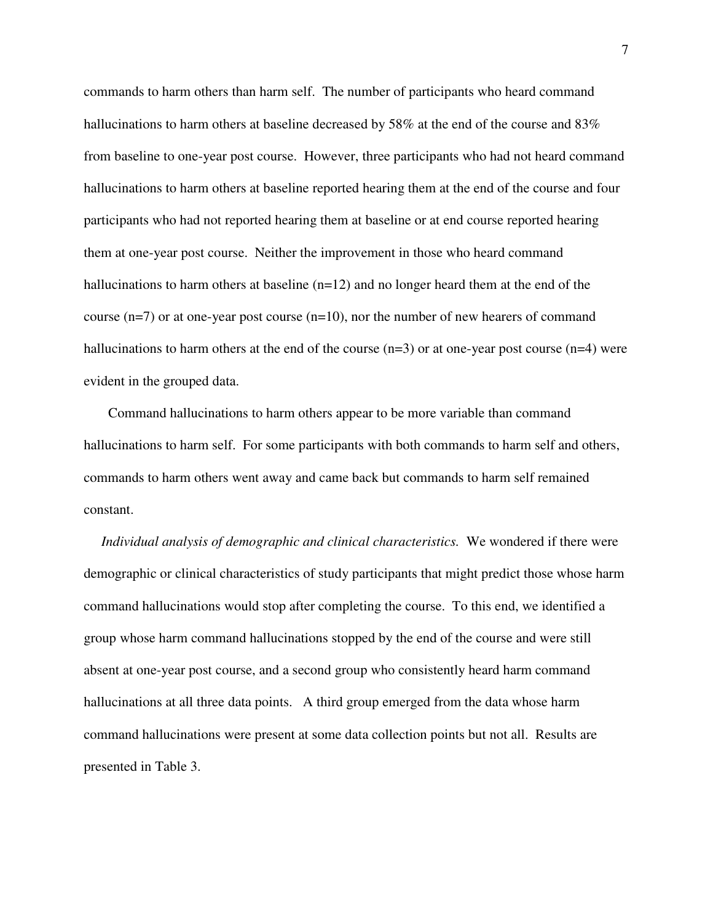commands to harm others than harm self. The number of participants who heard command hallucinations to harm others at baseline decreased by 58% at the end of the course and 83% from baseline to one-year post course. However, three participants who had not heard command hallucinations to harm others at baseline reported hearing them at the end of the course and four participants who had not reported hearing them at baseline or at end course reported hearing them at one-year post course. Neither the improvement in those who heard command hallucinations to harm others at baseline (n=12) and no longer heard them at the end of the course  $(n=7)$  or at one-year post course  $(n=10)$ , nor the number of new hearers of command hallucinations to harm others at the end of the course  $(n=3)$  or at one-year post course  $(n=4)$  were evident in the grouped data.

 Command hallucinations to harm others appear to be more variable than command hallucinations to harm self. For some participants with both commands to harm self and others, commands to harm others went away and came back but commands to harm self remained constant.

 *Individual analysis of demographic and clinical characteristics.* We wondered if there were demographic or clinical characteristics of study participants that might predict those whose harm command hallucinations would stop after completing the course. To this end, we identified a group whose harm command hallucinations stopped by the end of the course and were still absent at one-year post course, and a second group who consistently heard harm command hallucinations at all three data points. A third group emerged from the data whose harm command hallucinations were present at some data collection points but not all. Results are presented in Table 3.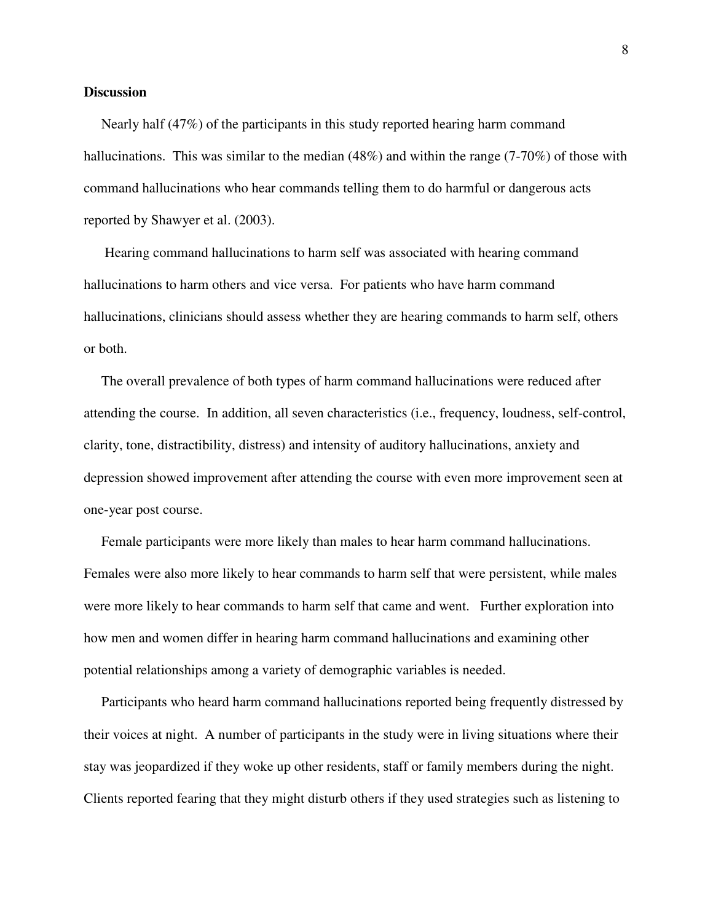#### **Discussion**

 Nearly half (47%) of the participants in this study reported hearing harm command hallucinations. This was similar to the median  $(48%)$  and within the range  $(7-70%)$  of those with command hallucinations who hear commands telling them to do harmful or dangerous acts reported by Shawyer et al. (2003).

 Hearing command hallucinations to harm self was associated with hearing command hallucinations to harm others and vice versa. For patients who have harm command hallucinations, clinicians should assess whether they are hearing commands to harm self, others or both.

 The overall prevalence of both types of harm command hallucinations were reduced after attending the course. In addition, all seven characteristics (i.e., frequency, loudness, self-control, clarity, tone, distractibility, distress) and intensity of auditory hallucinations, anxiety and depression showed improvement after attending the course with even more improvement seen at one-year post course.

 Female participants were more likely than males to hear harm command hallucinations. Females were also more likely to hear commands to harm self that were persistent, while males were more likely to hear commands to harm self that came and went. Further exploration into how men and women differ in hearing harm command hallucinations and examining other potential relationships among a variety of demographic variables is needed.

 Participants who heard harm command hallucinations reported being frequently distressed by their voices at night. A number of participants in the study were in living situations where their stay was jeopardized if they woke up other residents, staff or family members during the night. Clients reported fearing that they might disturb others if they used strategies such as listening to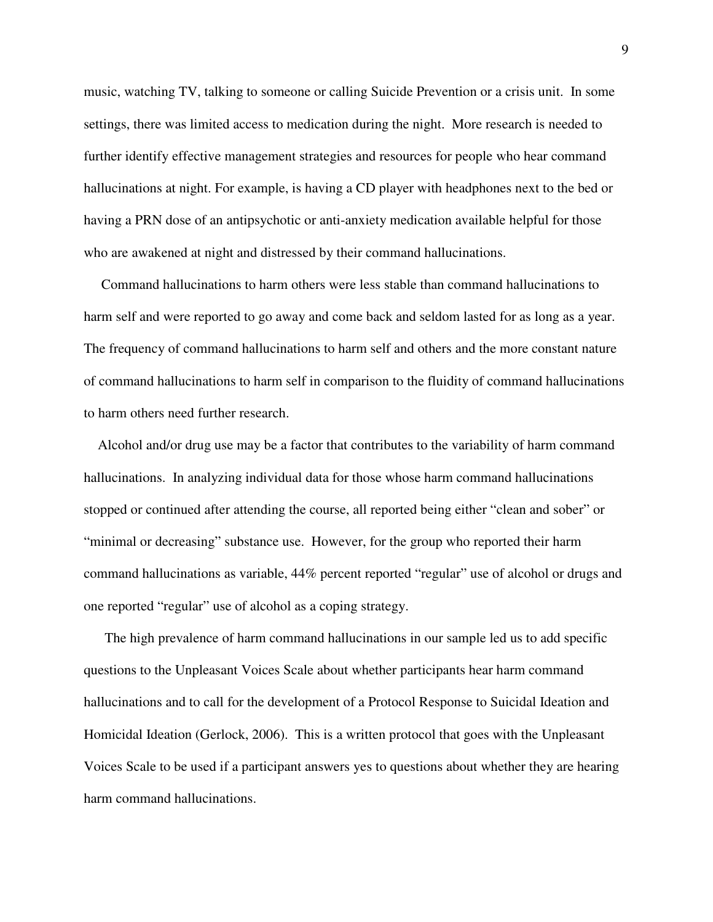music, watching TV, talking to someone or calling Suicide Prevention or a crisis unit. In some settings, there was limited access to medication during the night. More research is needed to further identify effective management strategies and resources for people who hear command hallucinations at night. For example, is having a CD player with headphones next to the bed or having a PRN dose of an antipsychotic or anti-anxiety medication available helpful for those who are awakened at night and distressed by their command hallucinations.

 Command hallucinations to harm others were less stable than command hallucinations to harm self and were reported to go away and come back and seldom lasted for as long as a year. The frequency of command hallucinations to harm self and others and the more constant nature of command hallucinations to harm self in comparison to the fluidity of command hallucinations to harm others need further research.

 Alcohol and/or drug use may be a factor that contributes to the variability of harm command hallucinations. In analyzing individual data for those whose harm command hallucinations stopped or continued after attending the course, all reported being either "clean and sober" or "minimal or decreasing" substance use. However, for the group who reported their harm command hallucinations as variable, 44% percent reported "regular" use of alcohol or drugs and one reported "regular" use of alcohol as a coping strategy.

 The high prevalence of harm command hallucinations in our sample led us to add specific questions to the Unpleasant Voices Scale about whether participants hear harm command hallucinations and to call for the development of a Protocol Response to Suicidal Ideation and Homicidal Ideation (Gerlock, 2006). This is a written protocol that goes with the Unpleasant Voices Scale to be used if a participant answers yes to questions about whether they are hearing harm command hallucinations.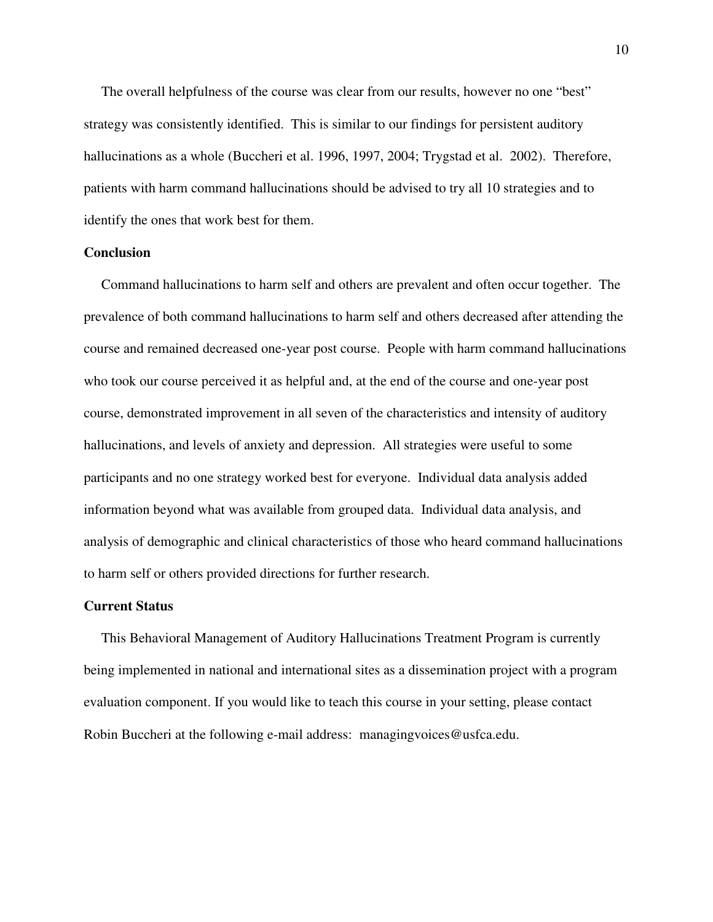The overall helpfulness of the course was clear from our results, however no one "best" strategy was consistently identified. This is similar to our findings for persistent auditory hallucinations as a whole (Buccheri et al. 1996, 1997, 2004; Trygstad et al. 2002). Therefore, patients with harm command hallucinations should be advised to try all 10 strategies and to identify the ones that work best for them.

#### **Conclusion**

 Command hallucinations to harm self and others are prevalent and often occur together. The prevalence of both command hallucinations to harm self and others decreased after attending the course and remained decreased one-year post course. People with harm command hallucinations who took our course perceived it as helpful and, at the end of the course and one-year post course, demonstrated improvement in all seven of the characteristics and intensity of auditory hallucinations, and levels of anxiety and depression. All strategies were useful to some participants and no one strategy worked best for everyone. Individual data analysis added information beyond what was available from grouped data. Individual data analysis, and analysis of demographic and clinical characteristics of those who heard command hallucinations to harm self or others provided directions for further research.

#### **Current Status**

 This Behavioral Management of Auditory Hallucinations Treatment Program is currently being implemented in national and international sites as a dissemination project with a program evaluation component. If you would like to teach this course in your setting, please contact Robin Buccheri at the following e-mail address: managingvoices@usfca.edu.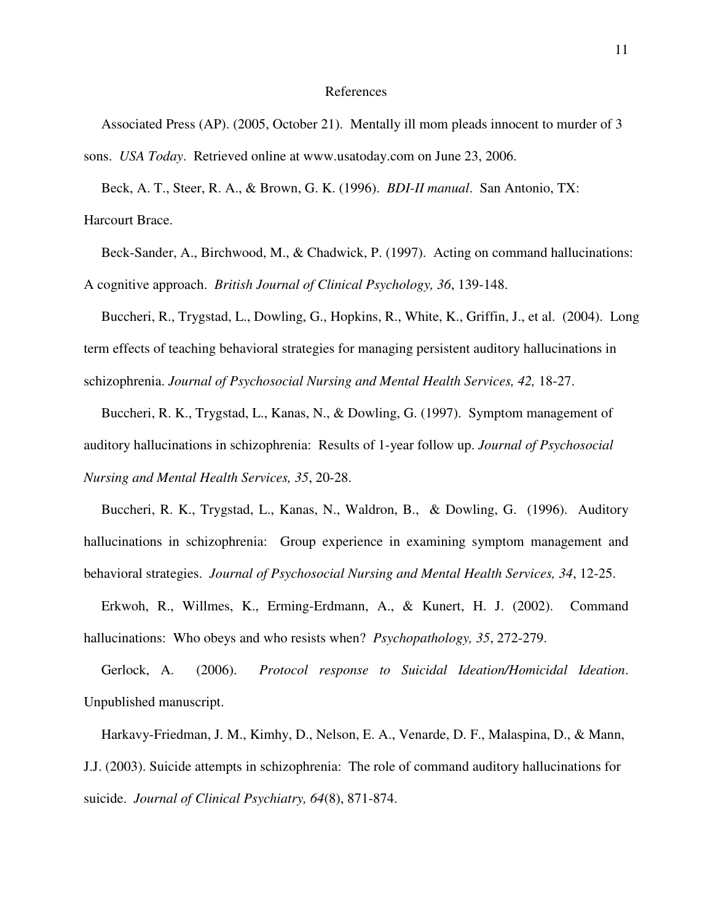#### References

 Associated Press (AP). (2005, October 21). Mentally ill mom pleads innocent to murder of 3 sons. *USA Today*. Retrieved online at www.usatoday.com on June 23, 2006.

 Beck, A. T., Steer, R. A., & Brown, G. K. (1996). *BDI-II manual*. San Antonio, TX: Harcourt Brace.

 Beck-Sander, A., Birchwood, M., & Chadwick, P. (1997). Acting on command hallucinations: A cognitive approach. *British Journal of Clinical Psychology, 36*, 139-148.

 Buccheri, R., Trygstad, L., Dowling, G., Hopkins, R., White, K., Griffin, J., et al. (2004). Long term effects of teaching behavioral strategies for managing persistent auditory hallucinations in schizophrenia. *Journal of Psychosocial Nursing and Mental Health Services, 42,* 18-27.

 Buccheri, R. K., Trygstad, L., Kanas, N., & Dowling, G. (1997). Symptom management of auditory hallucinations in schizophrenia: Results of 1-year follow up. *Journal of Psychosocial Nursing and Mental Health Services, 35*, 20-28.

 Buccheri, R. K., Trygstad, L., Kanas, N., Waldron, B., & Dowling, G. (1996). Auditory hallucinations in schizophrenia: Group experience in examining symptom management and behavioral strategies. *Journal of Psychosocial Nursing and Mental Health Services, 34*, 12-25.

 Erkwoh, R., Willmes, K., Erming-Erdmann, A., & Kunert, H. J. (2002). Command hallucinations: Who obeys and who resists when? *Psychopathology, 35*, 272-279.

 Gerlock, A. (2006). *Protocol response to Suicidal Ideation/Homicidal Ideation*. Unpublished manuscript.

 Harkavy-Friedman, J. M., Kimhy, D., Nelson, E. A., Venarde, D. F., Malaspina, D., & Mann, J.J. (2003). Suicide attempts in schizophrenia: The role of command auditory hallucinations for suicide. *Journal of Clinical Psychiatry, 64*(8), 871-874.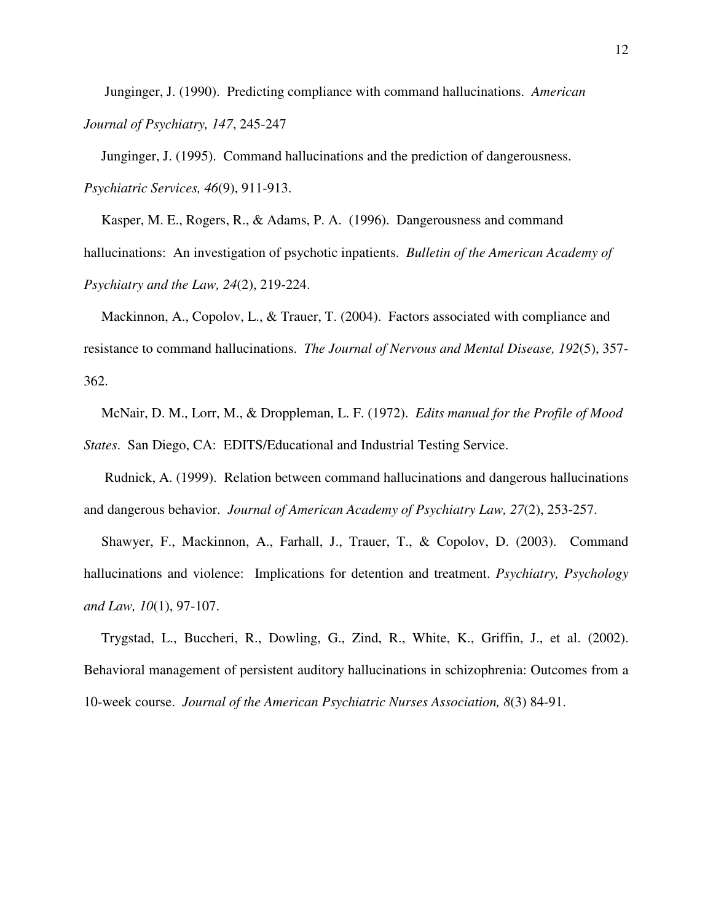Junginger, J. (1990). Predicting compliance with command hallucinations. *American Journal of Psychiatry, 147*, 245-247

 Junginger, J. (1995). Command hallucinations and the prediction of dangerousness. *Psychiatric Services, 46*(9), 911-913.

 Kasper, M. E., Rogers, R., & Adams, P. A. (1996). Dangerousness and command hallucinations: An investigation of psychotic inpatients. *Bulletin of the American Academy of Psychiatry and the Law, 24*(2), 219-224.

 Mackinnon, A., Copolov, L., & Trauer, T. (2004). Factors associated with compliance and resistance to command hallucinations. *The Journal of Nervous and Mental Disease, 192*(5), 357- 362.

 McNair, D. M., Lorr, M., & Droppleman, L. F. (1972). *Edits manual for the Profile of Mood States*. San Diego, CA: EDITS/Educational and Industrial Testing Service.

 Rudnick, A. (1999). Relation between command hallucinations and dangerous hallucinations and dangerous behavior. *Journal of American Academy of Psychiatry Law, 27*(2), 253-257.

 Shawyer, F., Mackinnon, A., Farhall, J., Trauer, T., & Copolov, D. (2003). Command hallucinations and violence: Implications for detention and treatment. *Psychiatry, Psychology and Law, 10*(1), 97-107.

 Trygstad, L., Buccheri, R., Dowling, G., Zind, R., White, K., Griffin, J., et al. (2002). Behavioral management of persistent auditory hallucinations in schizophrenia: Outcomes from a 10-week course. *Journal of the American Psychiatric Nurses Association, 8*(3) 84-91.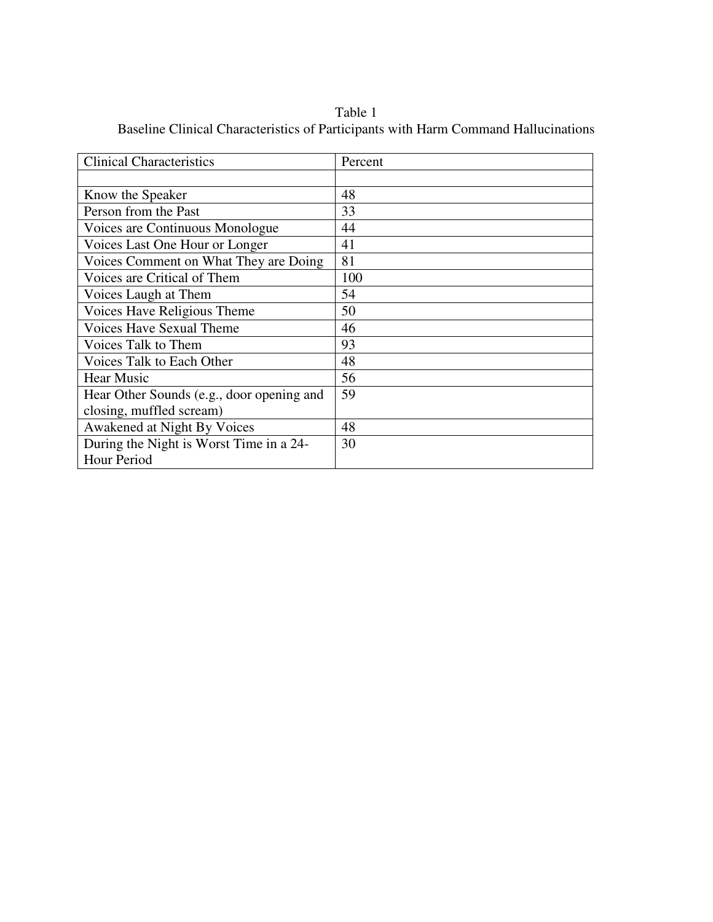Table 1 Baseline Clinical Characteristics of Participants with Harm Command Hallucinations

| <b>Clinical Characteristics</b>           | Percent |
|-------------------------------------------|---------|
|                                           |         |
| Know the Speaker                          | 48      |
| Person from the Past                      | 33      |
| Voices are Continuous Monologue           | 44      |
| Voices Last One Hour or Longer            | 41      |
| Voices Comment on What They are Doing     | 81      |
| Voices are Critical of Them               | 100     |
| Voices Laugh at Them                      | 54      |
| Voices Have Religious Theme               | 50      |
| <b>Voices Have Sexual Theme</b>           | 46      |
| Voices Talk to Them                       | 93      |
| Voices Talk to Each Other                 | 48      |
| <b>Hear Music</b>                         | 56      |
| Hear Other Sounds (e.g., door opening and | 59      |
| closing, muffled scream)                  |         |
| Awakened at Night By Voices               | 48      |
| During the Night is Worst Time in a 24-   | 30      |
| Hour Period                               |         |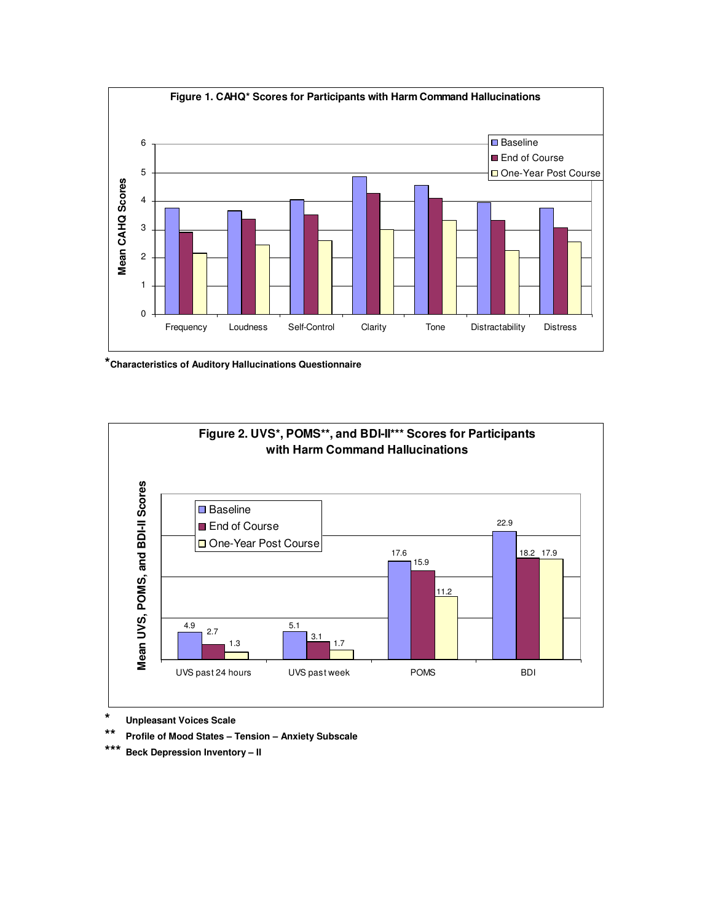

**\*Characteristics of Auditory Hallucinations Questionnaire** 



**\* Unpleasant Voices Scale** 

**\*\* Profile of Mood States – Tension – Anxiety Subscale**

**\*\*\* Beck Depression Inventory – II**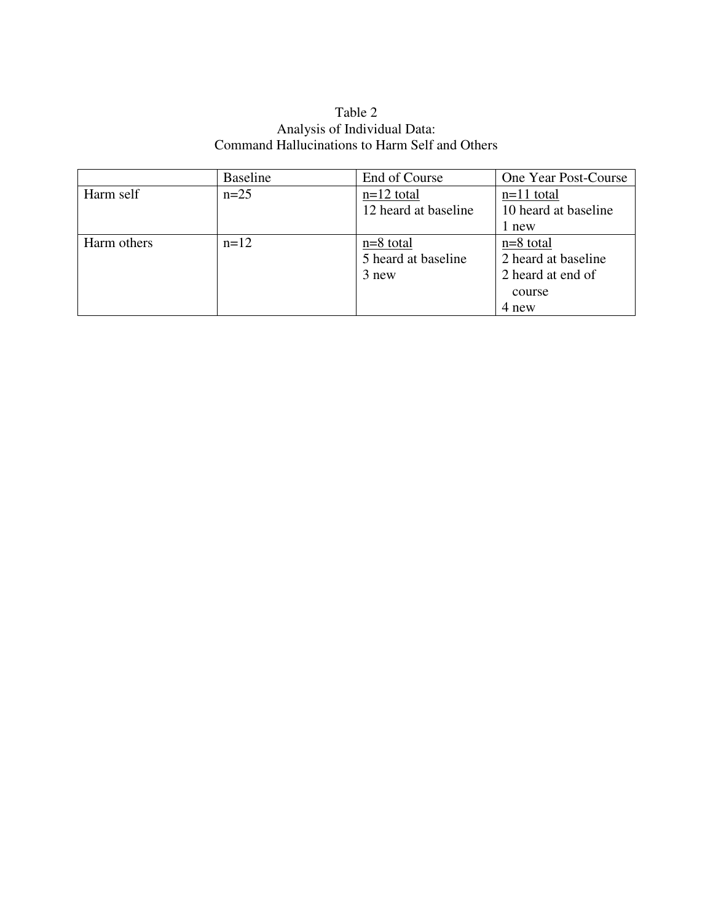### Table 2 Analysis of Individual Data: Command Hallucinations to Harm Self and Others

|             | <b>Baseline</b> | End of Course        | One Year Post-Course |
|-------------|-----------------|----------------------|----------------------|
| Harm self   | $n=25$          | $n=12$ total         | $n=11$ total         |
|             |                 | 12 heard at baseline | 10 heard at baseline |
|             |                 |                      | 1 new                |
| Harm others | $n=12$          | $n=8$ total          | $n=8$ total          |
|             |                 | 5 heard at baseline  | 2 heard at baseline  |
|             |                 | 3 new                | 2 heard at end of    |
|             |                 |                      | course               |
|             |                 |                      | 4 new                |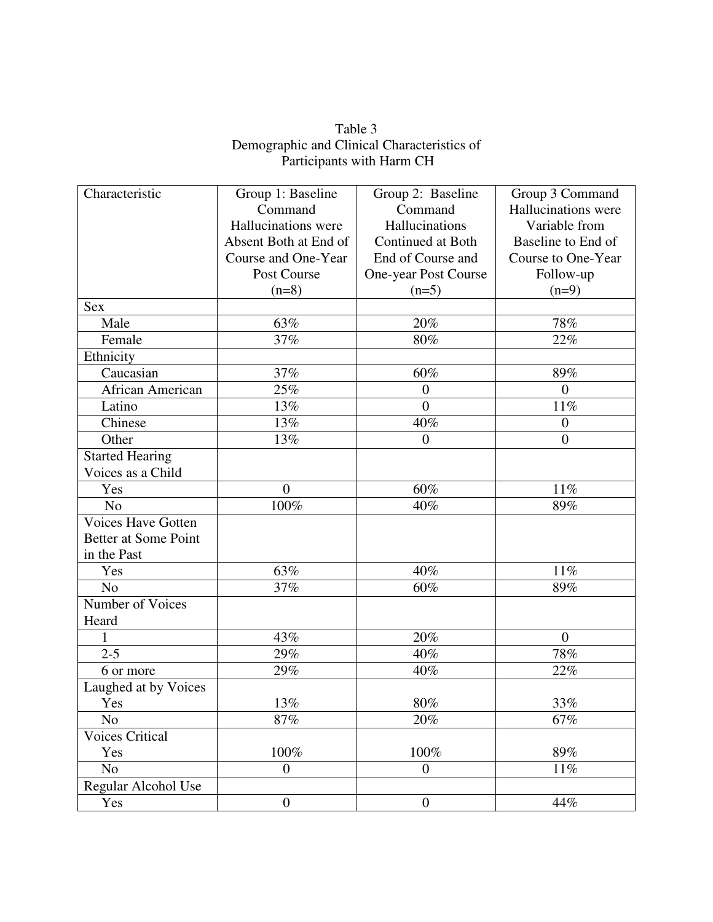| Table 3                                     |
|---------------------------------------------|
| Demographic and Clinical Characteristics of |
| Participants with Harm CH                   |

| Characteristic            | Group 1: Baseline     | Group 2: Baseline    | Group 3 Command     |
|---------------------------|-----------------------|----------------------|---------------------|
|                           | Command               | Command              | Hallucinations were |
|                           | Hallucinations were   | Hallucinations       | Variable from       |
|                           | Absent Both at End of | Continued at Both    | Baseline to End of  |
|                           | Course and One-Year   | End of Course and    | Course to One-Year  |
|                           | Post Course           | One-year Post Course | Follow-up           |
|                           | $(n=8)$               | $(n=5)$              | $(n=9)$             |
| <b>Sex</b>                |                       |                      |                     |
| Male                      | 63%                   | 20%                  | 78%                 |
| Female                    | 37%                   | 80%                  | 22%                 |
| Ethnicity                 |                       |                      |                     |
| Caucasian                 | 37%                   | $60\%$               | 89%                 |
| African American          | 25%                   | $\boldsymbol{0}$     | $\overline{0}$      |
| Latino                    | 13%                   | $\overline{0}$       | 11%                 |
| Chinese                   | 13%                   | 40%                  | $\boldsymbol{0}$    |
| Other                     | 13%                   | $\overline{0}$       | $\overline{0}$      |
| <b>Started Hearing</b>    |                       |                      |                     |
| Voices as a Child         |                       |                      |                     |
| Yes                       | $\overline{0}$        | 60%                  | 11%                 |
| N <sub>o</sub>            | 100%                  | 40%                  | 89%                 |
| <b>Voices Have Gotten</b> |                       |                      |                     |
| Better at Some Point      |                       |                      |                     |
| in the Past               |                       |                      |                     |
| Yes                       | 63%                   | 40%                  | 11%                 |
| N <sub>o</sub>            | 37%                   | 60%                  | 89%                 |
| Number of Voices          |                       |                      |                     |
| Heard                     |                       |                      |                     |
| $\mathbf{1}$              | 43%                   | 20%                  | $\overline{0}$      |
| $2 - 5$                   | 29%                   | 40%                  | $78\%$              |
| 6 or more                 | 29%                   | 40%                  | 22%                 |
| Laughed at by Voices      |                       |                      |                     |
| Yes                       | 13%                   | 80%                  | 33%                 |
| N <sub>o</sub>            | 87%                   | 20%                  | 67%                 |
| <b>Voices Critical</b>    |                       |                      |                     |
| Yes                       | 100%                  | 100%                 | 89%                 |
| N <sub>o</sub>            | $\overline{0}$        | $\overline{0}$       | 11%                 |
| Regular Alcohol Use       |                       |                      |                     |
| Yes                       | $\boldsymbol{0}$      | $\boldsymbol{0}$     | 44%                 |